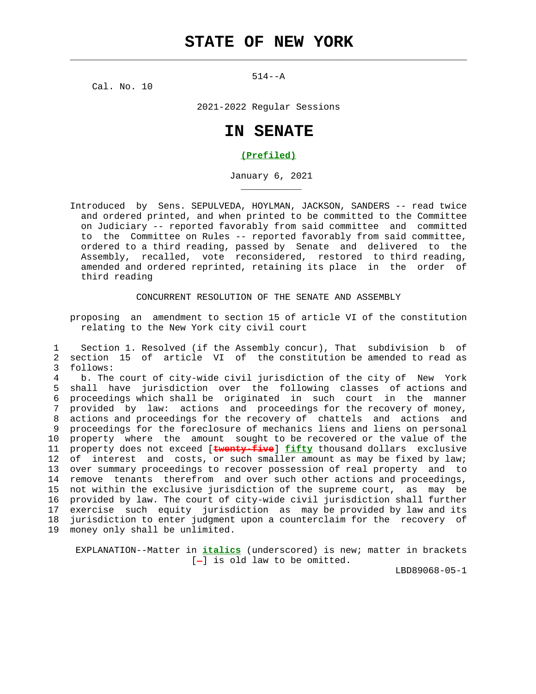$514--A$ 

 $\mathcal{L}_\text{max} = \frac{1}{2} \sum_{i=1}^{n} \frac{1}{2} \sum_{i=1}^{n} \frac{1}{2} \sum_{i=1}^{n} \frac{1}{2} \sum_{i=1}^{n} \frac{1}{2} \sum_{i=1}^{n} \frac{1}{2} \sum_{i=1}^{n} \frac{1}{2} \sum_{i=1}^{n} \frac{1}{2} \sum_{i=1}^{n} \frac{1}{2} \sum_{i=1}^{n} \frac{1}{2} \sum_{i=1}^{n} \frac{1}{2} \sum_{i=1}^{n} \frac{1}{2} \sum_{i=1}^{n} \frac{1$ 

Cal. No. 10

\_\_\_\_\_\_\_\_\_\_\_

2021-2022 Regular Sessions

## **IN SENATE**

## **(Prefiled)**

January 6, 2021

 Introduced by Sens. SEPULVEDA, HOYLMAN, JACKSON, SANDERS -- read twice and ordered printed, and when printed to be committed to the Committee on Judiciary -- reported favorably from said committee and committed to the Committee on Rules -- reported favorably from said committee, ordered to a third reading, passed by Senate and delivered to the Assembly, recalled, vote reconsidered, restored to third reading, amended and ordered reprinted, retaining its place in the order of third reading

CONCURRENT RESOLUTION OF THE SENATE AND ASSEMBLY

 proposing an amendment to section 15 of article VI of the constitution relating to the New York city civil court

 1 Section 1. Resolved (if the Assembly concur), That subdivision b of 2 section 15 of article VI of the constitution be amended to read as 3 follows:

 4 b. The court of city-wide civil jurisdiction of the city of New York 5 shall have jurisdiction over the following classes of actions and 6 proceedings which shall be originated in such court in the manner 7 provided by law: actions and proceedings for the recovery of money, 8 actions and proceedings for the recovery of chattels and actions and 9 proceedings for the foreclosure of mechanics liens and liens on personal 10 property where the amount sought to be recovered or the value of the 11 property does not exceed [**twenty-five**] **fifty** thousand dollars exclusive 12 of interest and costs, or such smaller amount as may be fixed by law; 13 over summary proceedings to recover possession of real property and to 14 remove tenants therefrom and over such other actions and proceedings, 15 not within the exclusive jurisdiction of the supreme court, as may be 16 provided by law. The court of city-wide civil jurisdiction shall further 17 exercise such equity jurisdiction as may be provided by law and its 18 jurisdiction to enter judgment upon a counterclaim for the recovery of 19 money only shall be unlimited.

 EXPLANATION--Matter in **italics** (underscored) is new; matter in brackets [-] is old law to be omitted.

LBD89068-05-1